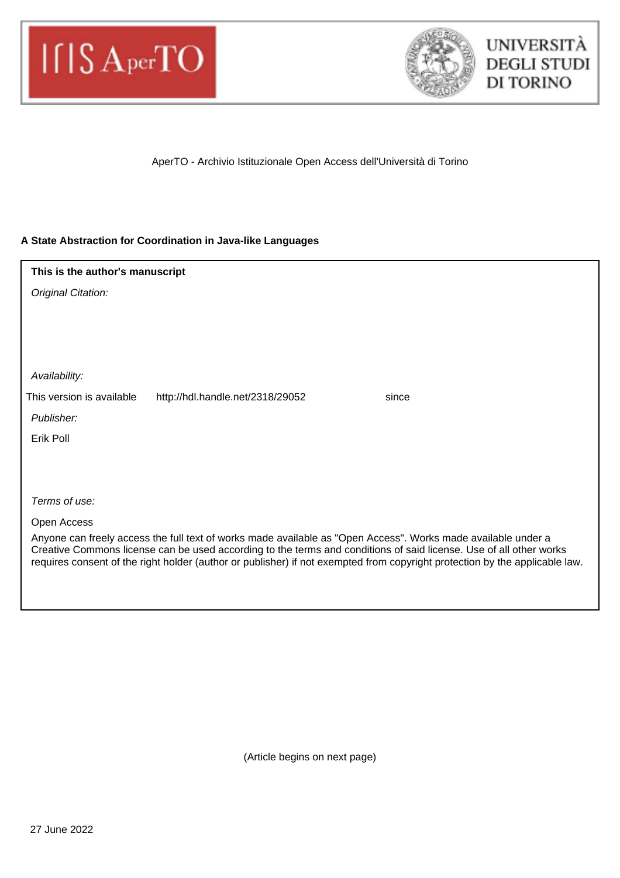



AperTO - Archivio Istituzionale Open Access dell'Università di Torino

# **A State Abstraction for Coordination in Java-like Languages**

| This is the author's manuscript                                                                                                                                                                                                                                                                                                                                    |  |
|--------------------------------------------------------------------------------------------------------------------------------------------------------------------------------------------------------------------------------------------------------------------------------------------------------------------------------------------------------------------|--|
| Original Citation:                                                                                                                                                                                                                                                                                                                                                 |  |
|                                                                                                                                                                                                                                                                                                                                                                    |  |
|                                                                                                                                                                                                                                                                                                                                                                    |  |
|                                                                                                                                                                                                                                                                                                                                                                    |  |
| Availability:                                                                                                                                                                                                                                                                                                                                                      |  |
| This version is available<br>http://hdl.handle.net/2318/29052<br>since                                                                                                                                                                                                                                                                                             |  |
| Publisher:                                                                                                                                                                                                                                                                                                                                                         |  |
| Erik Poll                                                                                                                                                                                                                                                                                                                                                          |  |
|                                                                                                                                                                                                                                                                                                                                                                    |  |
|                                                                                                                                                                                                                                                                                                                                                                    |  |
| Terms of use:                                                                                                                                                                                                                                                                                                                                                      |  |
| Open Access                                                                                                                                                                                                                                                                                                                                                        |  |
| Anyone can freely access the full text of works made available as "Open Access". Works made available under a<br>Creative Commons license can be used according to the terms and conditions of said license. Use of all other works<br>requires consent of the right holder (author or publisher) if not exempted from copyright protection by the applicable law. |  |

(Article begins on next page)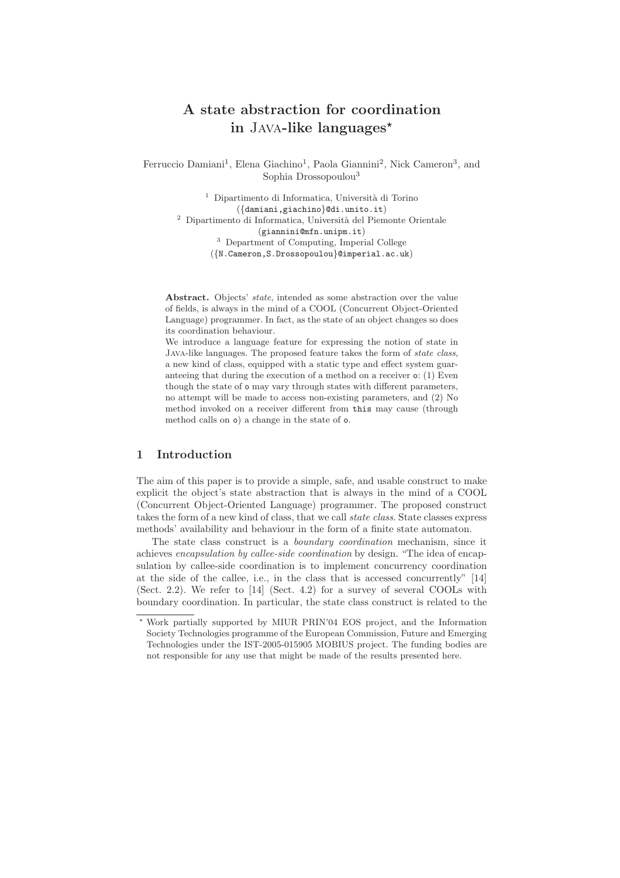# **A state abstraction for coordination in** Java**-like languages-**

Ferruccio Damiani<sup>1</sup>, Elena Giachino<sup>1</sup>, Paola Giannini<sup>2</sup>, Nick Cameron<sup>3</sup>, and Sophia Drossopoulou<sup>3</sup>

 $^{\rm 1}$  Dipartimento di Informatica, Università di Torino ({damiani,giachino}@di.unito.it)  $2$  Dipartimento di Informatica, Università del Piemonte Orientale (giannini@mfn.unipm.it) <sup>3</sup> Department of Computing, Imperial College

({N.Cameron,S.Drossopoulou}@imperial.ac.uk)

Abstract. Objects' state, intended as some abstraction over the value of fields, is always in the mind of a COOL (Concurrent Object-Oriented Language) programmer. In fact, as the state of an object changes so does its coordination behaviour.

We introduce a language feature for expressing the notion of state in Java-like languages. The proposed feature takes the form of state class, a new kind of class, equipped with a static type and effect system guaranteeing that during the execution of a method on a receiver o: (1) Even though the state of o may vary through states with different parameters, no attempt will be made to access non-existing parameters, and (2) No method invoked on a receiver different from this may cause (through method calls on o) a change in the state of o.

# **1 Introduction**

The aim of this paper is to provide a simple, safe, and usable construct to make explicit the object's state abstraction that is always in the mind of a COOL (Concurrent Object-Oriented Language) programmer. The proposed construct takes the form of a new kind of class, that we call state class. State classes express methods' availability and behaviour in the form of a finite state automaton.

The state class construct is a boundary coordination mechanism, since it achieves encapsulation by callee-side coordination by design. "The idea of encapsulation by callee-side coordination is to implement concurrency coordination at the side of the callee, i.e., in the class that is accessed concurrently" [14] (Sect. 2.2). We refer to [14] (Sect. 4.2) for a survey of several COOLs with boundary coordination. In particular, the state class construct is related to the

<sup>-</sup> Work partially supported by MIUR PRIN'04 EOS project, and the Information Society Technologies programme of the European Commission, Future and Emerging Technologies under the IST-2005-015905 MOBIUS project. The funding bodies are not responsible for any use that might be made of the results presented here.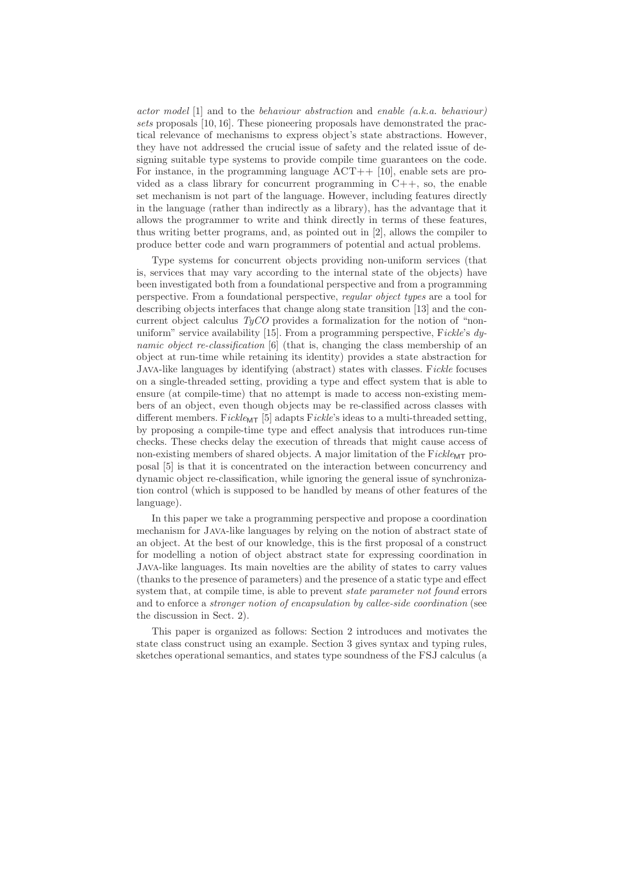actor model  $[1]$  and to the behaviour abstraction and enable  $(a,k,a)$ , behaviour) sets proposals [10, 16]. These pioneering proposals have demonstrated the practical relevance of mechanisms to express object's state abstractions. However, they have not addressed the crucial issue of safety and the related issue of designing suitable type systems to provide compile time guarantees on the code. For instance, in the programming language  $ACT++$  [10], enable sets are provided as a class library for concurrent programming in  $C++$ , so, the enable set mechanism is not part of the language. However, including features directly in the language (rather than indirectly as a library), has the advantage that it allows the programmer to write and think directly in terms of these features, thus writing better programs, and, as pointed out in [2], allows the compiler to produce better code and warn programmers of potential and actual problems.

Type systems for concurrent objects providing non-uniform services (that is, services that may vary according to the internal state of the objects) have been investigated both from a foundational perspective and from a programming perspective. From a foundational perspective, regular object types are a tool for describing objects interfaces that change along state transition [13] and the concurrent object calculus  $TyCO$  provides a formalization for the notion of "nonuniform" service availability [15]. From a programming perspective, Fickle's  $dy$ namic object re-classification [6] (that is, changing the class membership of an object at run-time while retaining its identity) provides a state abstraction for Java-like languages by identifying (abstract) states with classes. Fickle focuses on a single-threaded setting, providing a type and effect system that is able to ensure (at compile-time) that no attempt is made to access non-existing members of an object, even though objects may be re-classified across classes with different members. Fickle<sub>MT</sub> [5] adapts Fickle's ideas to a multi-threaded setting, by proposing a compile-time type and effect analysis that introduces run-time checks. These checks delay the execution of threads that might cause access of non-existing members of shared objects. A major limitation of the  $Fickle_{\text{MT}}$  proposal [5] is that it is concentrated on the interaction between concurrency and dynamic object re-classification, while ignoring the general issue of synchronization control (which is supposed to be handled by means of other features of the language).

In this paper we take a programming perspective and propose a coordination mechanism for Java-like languages by relying on the notion of abstract state of an object. At the best of our knowledge, this is the first proposal of a construct for modelling a notion of object abstract state for expressing coordination in Java-like languages. Its main novelties are the ability of states to carry values (thanks to the presence of parameters) and the presence of a static type and effect system that, at compile time, is able to prevent *state parameter not found* errors and to enforce a *stronger notion of encapsulation by callee-side coordination* (see the discussion in Sect. 2).

This paper is organized as follows: Section 2 introduces and motivates the state class construct using an example. Section 3 gives syntax and typing rules, sketches operational semantics, and states type soundness of the FSJ calculus (a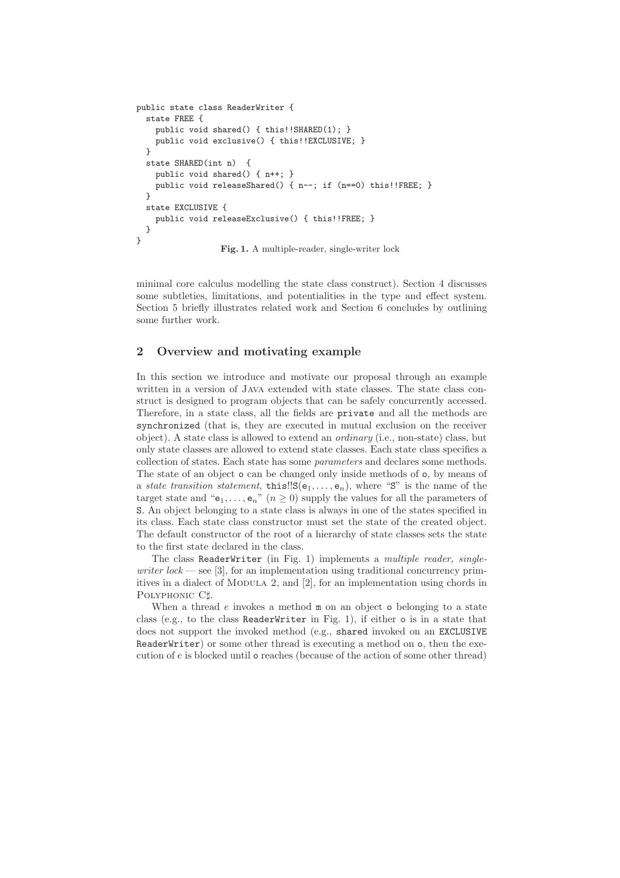```
public state class ReaderWriter {
  state FREE {
    public void shared() { this!!SHARED(1); }
    public void exclusive() { this!!EXCLUSIVE; }
  }
  state SHARED(int n) {
    public void shared() { n++; }
    public void releaseShared() { n--; if (n==0) this!!FREE; }
  }
  state EXCLUSIVE {
    public void releaseExclusive() { this!!FREE; }
 }
}
                  Fig. 1. A multiple-reader, single-writer lock
```
minimal core calculus modelling the state class construct). Section 4 discusses some subtleties, limitations, and potentialities in the type and effect system. Section 5 briefly illustrates related work and Section 6 concludes by outlining some further work.

# **2 Overview and motivating example**

In this section we introduce and motivate our proposal through an example written in a version of Java extended with state classes. The state class construct is designed to program objects that can be safely concurrently accessed. Therefore, in a state class, all the fields are private and all the methods are synchronized (that is, they are executed in mutual exclusion on the receiver object). A state class is allowed to extend an ordinary (i.e., non-state) class, but only state classes are allowed to extend state classes. Each state class specifies a collection of states. Each state has some parameters and declares some methods. The state of an object o can be changed only inside methods of o, by means of a state transition statement, this! $S(e_1,..., e_n)$ , where "S" is the name of the target state and " $e_1,\ldots,e_n$ "  $(n \ge 0)$  supply the values for all the parameters of S. An object belonging to a state class is always in one of the states specified in its class. Each state class constructor must set the state of the created object. The default constructor of the root of a hierarchy of state classes sets the state to the first state declared in the class.

The class ReaderWriter (in Fig. 1) implements a *multiple reader, single*writer  $lock$  — see [3], for an implementation using traditional concurrency primitives in a dialect of MODULA 2, and [2], for an implementation using chords in POLYPHONIC C#.

When a thread  $e$  invokes a method  $m$  on an object o belonging to a state class (e.g., to the class ReaderWriter in Fig. 1), if either o is in a state that does not support the invoked method (e.g., shared invoked on an EXCLUSIVE ReaderWriter) or some other thread is executing a method on o, then the execution of  $e$  is blocked until  $\circ$  reaches (because of the action of some other thread)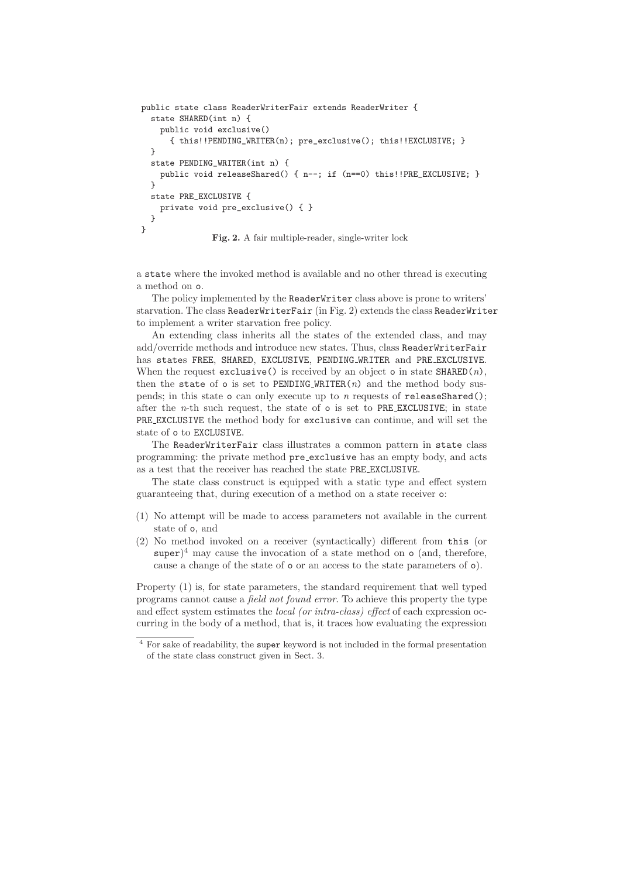```
public state class ReaderWriterFair extends ReaderWriter {
  state SHARED(int n) {
    public void exclusive()
      { this!!PENDING_WRITER(n); pre_exclusive(); this!!EXCLUSIVE; }
  }
  state PENDING_WRITER(int n) {
    public void releaseShared() { n--; if (n==0) this!!PRE_EXCLUSIVE; }
  }
  state PRE_EXCLUSIVE {
    private void pre_exclusive() { }
  }
}
               Fig. 2. A fair multiple-reader, single-writer lock
```
a state where the invoked method is available and no other thread is executing a method on o.

The policy implemented by the ReaderWriter class above is prone to writers' starvation. The class ReaderWriterFair (in Fig. 2) extends the class ReaderWriter to implement a writer starvation free policy.

An extending class inherits all the states of the extended class, and may add/override methods and introduce new states. Thus, class ReaderWriterFair has states FREE, SHARED, EXCLUSIVE, PENDING WRITER and PRE EXCLUSIVE. When the request exclusive() is received by an object o in state  $\texttt{SHAREN}(n)$ , then the state of  $\circ$  is set to PENDING WRITER(n) and the method body suspends; in this state  $\circ$  can only execute up to *n* requests of **releaseShared**(); after the  $n$ -th such request, the state of  $\circ$  is set to PRE EXCLUSIVE; in state PRE EXCLUSIVE the method body for exclusive can continue, and will set the state of o to EXCLUSIVE.

The ReaderWriterFair class illustrates a common pattern in state class programming: the private method pre exclusive has an empty body, and acts as a test that the receiver has reached the state PRE EXCLUSIVE.

The state class construct is equipped with a static type and effect system guaranteeing that, during execution of a method on a state receiver o:

- (1) No attempt will be made to access parameters not available in the current state of o, and
- (2) No method invoked on a receiver (syntactically) different from this (or super)<sup>4</sup> may cause the invocation of a state method on  $\circ$  (and, therefore, cause a change of the state of o or an access to the state parameters of o).

Property (1) is, for state parameters, the standard requirement that well typed programs cannot cause a field not found error. To achieve this property the type and effect system estimates the *local (or intra-class)* effect of each expression occurring in the body of a method, that is, it traces how evaluating the expression

<sup>4</sup> For sake of readability, the super keyword is not included in the formal presentation of the state class construct given in Sect. 3.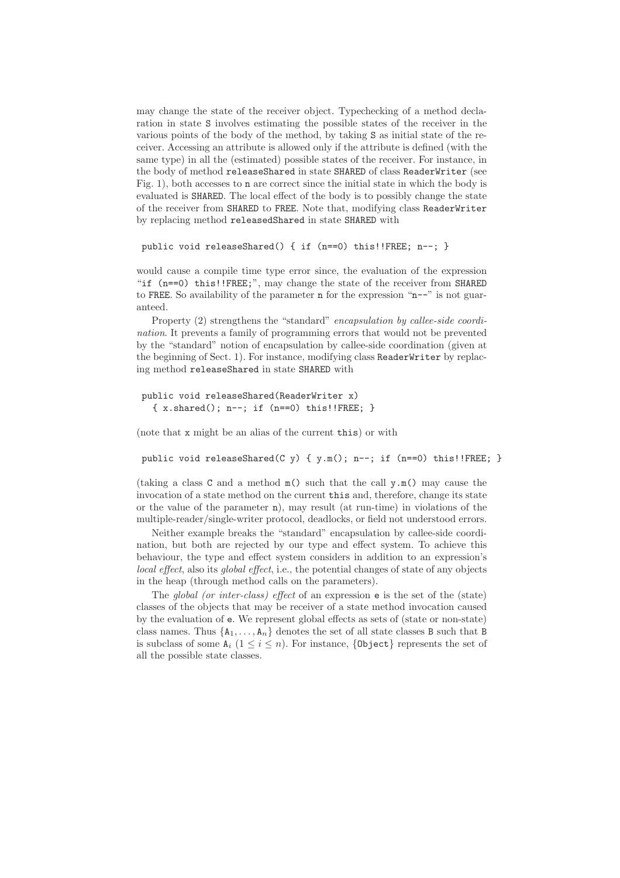may change the state of the receiver object. Typechecking of a method declaration in state S involves estimating the possible states of the receiver in the various points of the body of the method, by taking S as initial state of the receiver. Accessing an attribute is allowed only if the attribute is defined (with the same type) in all the (estimated) possible states of the receiver. For instance, in the body of method releaseShared in state SHARED of class ReaderWriter (see Fig. 1), both accesses to n are correct since the initial state in which the body is evaluated is SHARED. The local effect of the body is to possibly change the state of the receiver from SHARED to FREE. Note that, modifying class ReaderWriter by replacing method releasedShared in state SHARED with

```
public void releaseShared() { if (n==0) this!!FREE; n--; }
```
would cause a compile time type error since, the evaluation of the expression "if (n==0) this!!FREE;", may change the state of the receiver from SHARED to FREE. So availability of the parameter n for the expression "n--" is not guaranteed.

Property (2) strengthens the "standard" encapsulation by callee-side coordination. It prevents a family of programming errors that would not be prevented by the "standard" notion of encapsulation by callee-side coordination (given at the beginning of Sect. 1). For instance, modifying class ReaderWriter by replacing method releaseShared in state SHARED with

```
public void releaseShared(ReaderWriter x)
   \{ x.\mathtt{shared}() \, ; \, n--; \text{ if } (n==0) \text{ this} \, ! \, ! \, \mathtt{FREE}; \, \}
```
(note that x might be an alias of the current this) or with

public void releaseShared(C y) {  $y.m()$ ; n--; if (n==0) this!!FREE; }

(taking a class C and a method  $m()$  such that the call  $v.m()$  may cause the invocation of a state method on the current this and, therefore, change its state or the value of the parameter n), may result (at run-time) in violations of the multiple-reader/single-writer protocol, deadlocks, or field not understood errors.

Neither example breaks the "standard" encapsulation by callee-side coordination, but both are rejected by our type and effect system. To achieve this behaviour, the type and effect system considers in addition to an expression's local effect, also its global effect, i.e., the potential changes of state of any objects in the heap (through method calls on the parameters).

The global (or inter-class) effect of an expression e is the set of the (state) classes of the objects that may be receiver of a state method invocation caused by the evaluation of e. We represent global effects as sets of (state or non-state) class names. Thus  $\{A_1, \ldots, A_n\}$  denotes the set of all state classes B such that B is subclass of some  $A_i$   $(1 \leq i \leq n)$ . For instance, {0bject} represents the set of all the possible state classes.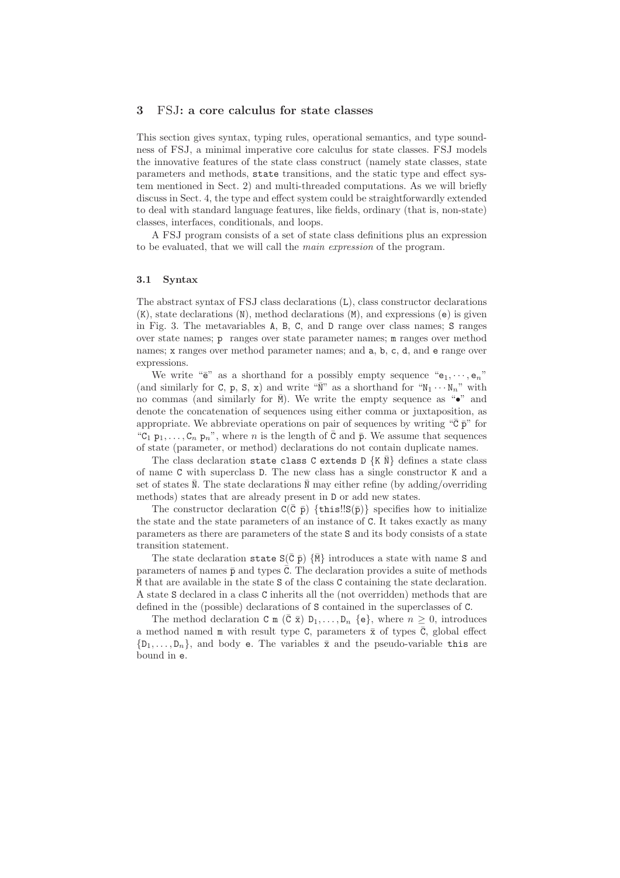#### **3** FSJ**: a core calculus for state classes**

This section gives syntax, typing rules, operational semantics, and type soundness of FSJ, a minimal imperative core calculus for state classes. FSJ models the innovative features of the state class construct (namely state classes, state parameters and methods, state transitions, and the static type and effect system mentioned in Sect. 2) and multi-threaded computations. As we will briefly discuss in Sect. 4, the type and effect system could be straightforwardly extended to deal with standard language features, like fields, ordinary (that is, non-state) classes, interfaces, conditionals, and loops.

A FSJ program consists of a set of state class definitions plus an expression to be evaluated, that we will call the main expression of the program.

#### **3.1 Syntax**

The abstract syntax of FSJ class declarations (L), class constructor declarations (K), state declarations (N), method declarations (M), and expressions (e) is given in Fig. 3. The metavariables A, B, C, and D range over class names; S ranges over state names; p ranges over state parameter names; m ranges over method names; x ranges over method parameter names; and a, b, c, d, and e range over expressions.

We write " $e$ " as a shorthand for a possibly empty sequence " $e_1, \dots, e_n$ " (and similarly for C, p, S, x) and write " $\bar{N}$ " as a shorthand for " $N_1 \cdots N_n$ " with no commas (and similarly for  $\bar{M}$ ). We write the empty sequence as " $\bullet$ " and denote the concatenation of sequences using either comma or juxtaposition, as appropriate. We abbreviate operations on pair of sequences by writing " $\bar{c}$   $\bar{p}$ " for "C<sub>1</sub>  $p_1, \ldots, C_n$   $p_n$ ", where n is the length of  $\overline{C}$  and  $\overline{p}$ . We assume that sequences of state (parameter, or method) declarations do not contain duplicate names.

The class declaration state class C extends D  $\{K \bar{N}\}\$  defines a state class of name C with superclass D. The new class has a single constructor K and a set of states  $\overline{\mathbb{N}}$ . The state declarations  $\overline{\mathbb{N}}$  may either refine (by adding/overriding methods) states that are already present in D or add new states.

The constructor declaration  $C(\bar{C} \bar{p})$  {this!! $S(\bar{p})$ } specifies how to initialize the state and the state parameters of an instance of C. It takes exactly as many parameters as there are parameters of the state S and its body consists of a state transition statement.

The state declaration state  $S(\bar{C} \bar{p}) \{\bar{M}\}$  introduces a state with name S and parameters of names  $\bar{p}$  and types  $\bar{c}$ . The declaration provides a suite of methods  $\overline{M}$  that are available in the state S of the class C containing the state declaration. A state S declared in a class C inherits all the (not overridden) methods that are defined in the (possible) declarations of S contained in the superclasses of C.

The method declaration C m  $(\bar{C} \bar{x}) D_1, \ldots, D_n$  {e}, where  $n \geq 0$ , introduces a method named m with result type C, parameters  $\bar{x}$  of types  $\bar{C}$ , global effect  $\{D_1,\ldots,D_n\}$ , and body e. The variables  $\bar{x}$  and the pseudo-variable this are bound in e.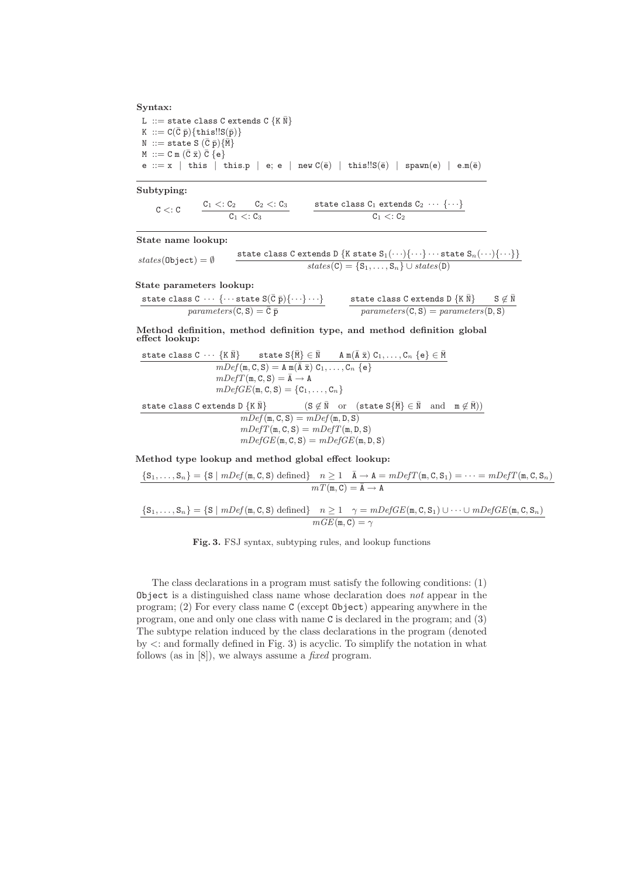#### **Syntax:**

L ::= state class C extends C  $\{K \overline{N}\}$ K ::=  $C(\overline{C}\ \overline{p})\{\text{this}!!S(\overline{p})\}$  $N$  ::= state S  $(\bar{C} \bar{p})\{\bar{M}\}$  $M := C m (\overline{C} \overline{x}) \overline{C} \{e\}$ e ::= x | this | this.p | e; e | new  $C(\bar{e})$  | this!! $S(\bar{e})$  | spawn $(e)$  | e.m $(\bar{e})$ 

**Subtyping:**

 $C <: C$  $C_1 <: C_2$   $C_2 <: C_3$  $C_1 < C_3$ state class  $\mathtt{C}_1$  extends  $\mathtt{C}_2$   $\;\cdots\; \{\cdots\}$  $C_1 < C_2$ 

**State name lookup:**

$$
states(\texttt{Object}) = \emptyset \qquad \begin{array}{r} \texttt{state class C extends D }\{\texttt{K state }S_1(\cdots)\{\cdots\}\cdots\texttt{state }S_n(\cdots)\{\cdots\}\} \\ \textit{states}(\texttt{C}) = \{S_1,\ldots,S_n\}\cup \textit{states}(\texttt{D}) \end{array}
$$

**State parameters lookup:**

| state class C $\cdots$ { $\cdots$ state S( $\bar{C}$ $\bar{p}$ ){ $\cdots$ } | state class C extends D {K $\bar{N}$ } $S \notin \bar{N}$ |
|------------------------------------------------------------------------------|-----------------------------------------------------------|
| parameters(C, S) = $\bar{C}$ $\bar{p}$                                       | parameters(C, S) = parameters(D, S)                       |

**Method definition, method definition type, and method definition global effect lookup:**

state class  $C \ \cdots \ \{\texttt{K} \ \bar{\texttt{N}}\} \qquad \texttt{state} \ \texttt{S} \{\bar{\texttt{M}}\} \in \bar{\texttt{N}} \qquad \texttt{A} \ \texttt{m}(\bar{\texttt{A}} \ \bar{\texttt{x}}) \ \texttt{C}_1, \ldots, \texttt{C}_n \ \{\texttt{e}\} \in \bar{\texttt{M}}$  $mDef(m, C, S) = A m(\overline{A} \overline{x}) C_1, \ldots, C_n \{e\}$  $mDefT(\mathfrak{m}, \mathsf{C}, \mathsf{S}) = \overline{\mathsf{A}} \to \mathsf{A}$  $mDefGE(\mathfrak{m}, \mathsf{C}, \mathsf{S}) = \{\mathsf{C}_1, \ldots, \mathsf{C}_n\}$ state class C extends D  $\{K \bar{N}\}$  (S  $\not\in \bar{N}$  or (state  $S\{\bar{M}\}\in \bar{N}$  and  $m \not\in \bar{M})$ )  $mDef(m, C, S) = mDef(m, D, S)$  $mDefT(\mathfrak{m}, \mathbf{C}, \mathbf{S}) = mDefT(\mathfrak{m}, \mathbf{D}, \mathbf{S})$  $mDefGE(\mathfrak{m}, \mathsf{C}, \mathsf{S}) = mDefGE(\mathfrak{m}, \mathsf{D}, \mathsf{S})$ 

**Method type lookup and method global effect lookup:**

 $\{S_1,\ldots,S_n\} = \{S \mid mDef(\mathfrak{m},C,S) \text{ defined}\}$   $n \geq 1$   $\overline{A} \rightarrow A = mDef(T(\mathfrak{m},C,S_1) = \cdots = mDef(T(\mathfrak{m},C,S_n))$  $mT(\mathfrak{m}, \mathfrak{C}) = \overline{\mathfrak{A}} \to \mathfrak{A}$ 

$$
{S_1, \ldots, S_n} = {S | mDef(m, C, S) defined} \quad n \ge 1 \quad \gamma = mDefGE(m, C, S_1) \cup \cdots \cup mDefGE(m, C, S_n)
$$

$$
mGE(m, C) = \gamma
$$

**Fig. 3.** FSJ syntax, subtyping rules, and lookup functions

The class declarations in a program must satisfy the following conditions: (1) Object is a distinguished class name whose declaration does  $not$  appear in the program; (2) For every class name C (except Object) appearing anywhere in the program, one and only one class with name C is declared in the program; and (3) The subtype relation induced by the class declarations in the program (denoted by <: and formally defined in Fig. 3) is acyclic. To simplify the notation in what follows (as in [8]), we always assume a *fixed* program.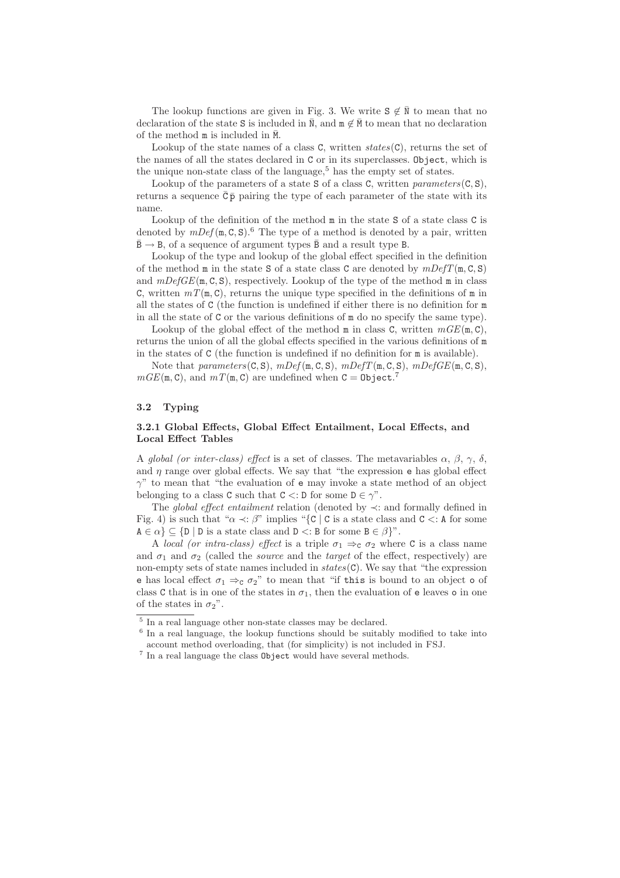The lookup functions are given in Fig. 3. We write  $S \notin \overline{N}$  to mean that no declaration of the state S is included in  $\overline{\mathbb{N}}$ , and  $\mathbb{m} \notin \overline{\mathbb{M}}$  to mean that no declaration of the method  $m$  is included in  $\overline{M}$ .

Lookup of the state names of a class  $C$ , written  $states(C)$ , returns the set of the names of all the states declared in C or in its superclasses. Object, which is the unique non-state class of the language,  $5$  has the empty set of states.

Lookup of the parameters of a state S of a class C, written parameters $(C, S)$ , returns a sequence  $\overline{C}$  $\overline{P}$  pairing the type of each parameter of the state with its name.

Lookup of the definition of the method  $m$  in the state S of a state class C is denoted by  $mDef(m, C, S)$ .<sup>6</sup> The type of a method is denoted by a pair, written  $\bar{B} \rightarrow B$ , of a sequence of argument types  $\bar{B}$  and a result type B.

Lookup of the type and lookup of the global effect specified in the definition of the method m in the state S of a state class C are denoted by  $mDefT(m, C, S)$ and  $mDefGE(\mathfrak{m}, \mathbb{C}, \mathbb{S})$ , respectively. Lookup of the type of the method  $\mathfrak{m}$  in class C, written  $mT(\mathfrak{m}, \mathbb{C})$ , returns the unique type specified in the definitions of  $\mathfrak{m}$  in all the states of C (the function is undefined if either there is no definition for m in all the state of C or the various definitions of m do no specify the same type).

Lookup of the global effect of the method m in class C, written  $mGE(\text{m}, \text{C})$ , returns the union of all the global effects specified in the various definitions of m in the states of C (the function is undefined if no definition for m is available).

Note that parameters( $C, S$ ),  $mDef(m, C, S)$ ,  $mDef(T(m, C, S), mDef(E(m, C, S))$  $mGE(\mathbf{m}, \mathbf{C})$ , and  $mT(\mathbf{m}, \mathbf{C})$  are undefined when  $\mathbf{C} = \mathbf{Object}$ .

### **3.2 Typing**

### **3.2.1 Global Effects, Global Effect Entailment, Local Effects, and Local Effect Tables**

A global (or inter-class) effect is a set of classes. The metavariables  $\alpha$ ,  $\beta$ ,  $\gamma$ ,  $\delta$ , and  $\eta$  range over global effects. We say that "the expression e has global effect  $\gamma$ " to mean that "the evaluation of e may invoke a state method of an object belonging to a class C such that  $C \lt D$  for some  $D \in \gamma$ ".

The global effect entailment relation (denoted by ≺: and formally defined in Fig. 4) is such that " $\alpha \prec : \beta$ " implies "{C | C is a state class and C  $\lt:$ : A for some  $A \in \alpha$   $\subset \{D \mid D \text{ is a state class and } D \subset B \text{ for some } B \in \beta\}$ ".

A local (or intra-class) effect is a triple  $\sigma_1 \Rightarrow_{\mathbf{C}} \sigma_2$  where C is a class name and  $\sigma_1$  and  $\sigma_2$  (called the *source* and the *target* of the effect, respectively) are non-empty sets of state names included in  $states(C)$ . We say that "the expression e has local effect  $\sigma_1 \Rightarrow_{\mathsf{C}} \sigma_2$ " to mean that "if this is bound to an object o of class C that is in one of the states in  $\sigma_1$ , then the evaluation of e leaves o in one of the states in  $\sigma_2$ ".

 $\overline{5}$  In a real language other non-state classes may be declared.

<sup>&</sup>lt;sup>6</sup> In a real language, the lookup functions should be suitably modified to take into account method overloading, that (for simplicity) is not included in FSJ.

 $^7$  In a real language the class  ${\tt Object}$  would have several methods.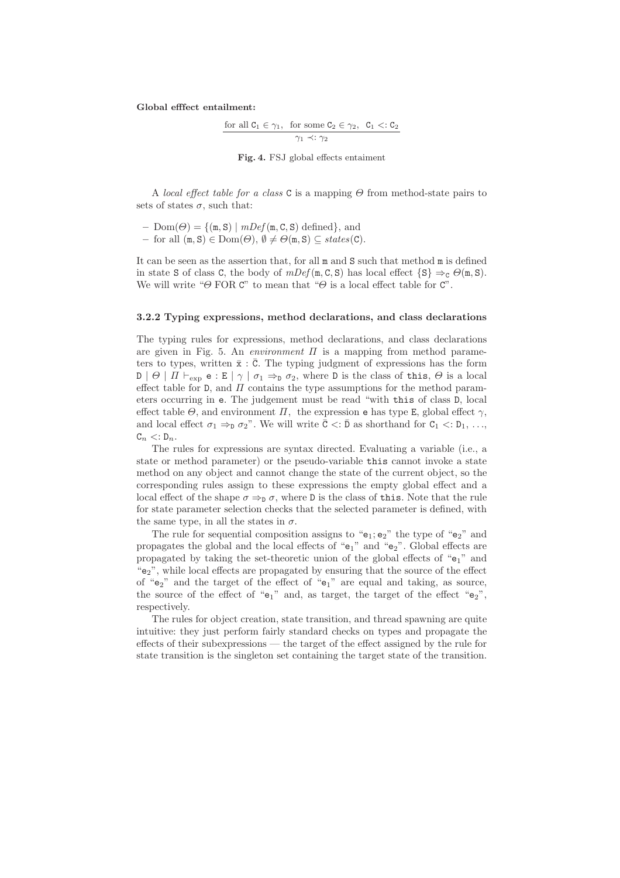**Global efffect entailment:**

$$
\frac{\text{for all } C_1 \in \gamma_1, \text{ for some } C_2 \in \gamma_2, C_1 <: C_2}{\gamma_1 \prec : \gamma_2}
$$

**Fig. 4.** FSJ global effects entaiment

A local effect table for a class C is a mapping  $\Theta$  from method-state pairs to sets of states  $\sigma$ , such that:

 $– Dom(\Theta) = \{(\mathbf{m}, \mathbf{S}) \mid mDef(\mathbf{m}, \mathbf{C}, \mathbf{S}) \text{ defined}\},\$ and

**–** for all (m, S) ∈ Dom(Θ), ∅ = Θ(m, S) ⊆ states(C).

It can be seen as the assertion that, for all m and S such that method m is defined in state S of class C, the body of  $mDef(m, C, S)$  has local effect  $\{S\} \Rightarrow_{C} \Theta(m, S)$ . We will write " $\Theta$  FOR C" to mean that " $\Theta$  is a local effect table for C".

#### **3.2.2 Typing expressions, method declarations, and class declarations**

The typing rules for expressions, method declarations, and class declarations are given in Fig. 5. An *environment*  $\Pi$  is a mapping from method parameters to types, written  $\bar{x}$ :  $\bar{C}$ . The typing judgment of expressions has the form  $D \mid \Theta \mid \Pi \vdash_{\exp} e : E \mid \gamma \mid \sigma_1 \Rightarrow_{\mathbb{D}} \sigma_2$ , where D is the class of this,  $\Theta$  is a local effect table for D, and  $\Pi$  contains the type assumptions for the method parameters occurring in e. The judgement must be read "with this of class D, local effect table  $\Theta$ , and environment  $\Pi$ , the expression e has type E, global effect  $\gamma$ , and local effect  $\sigma_1 \Rightarrow_D \sigma_2$ ". We will write  $\bar{C}$  <:  $\bar{D}$  as shorthand for  $C_1$  <:  $D_1$ , ...,  $C_n \lt: D_n$ .

The rules for expressions are syntax directed. Evaluating a variable (i.e., a state or method parameter) or the pseudo-variable this cannot invoke a state method on any object and cannot change the state of the current object, so the corresponding rules assign to these expressions the empty global effect and a local effect of the shape  $\sigma \Rightarrow_{\mathbf{D}} \sigma$ , where D is the class of this. Note that the rule for state parameter selection checks that the selected parameter is defined, with the same type, in all the states in  $\sigma$ .

The rule for sequential composition assigns to " $e_1$ ;  $e_2$ " the type of " $e_2$ " and propagates the global and the local effects of " $e_1$ " and " $e_2$ ". Global effects are propagated by taking the set-theoretic union of the global effects of "e1" and "e2", while local effects are propagated by ensuring that the source of the effect of " $e_2$ " and the target of the effect of " $e_1$ " are equal and taking, as source, the source of the effect of " $e_1$ " and, as target, the target of the effect " $e_2$ ", respectively.

The rules for object creation, state transition, and thread spawning are quite intuitive: they just perform fairly standard checks on types and propagate the effects of their subexpressions — the target of the effect assigned by the rule for state transition is the singleton set containing the target state of the transition.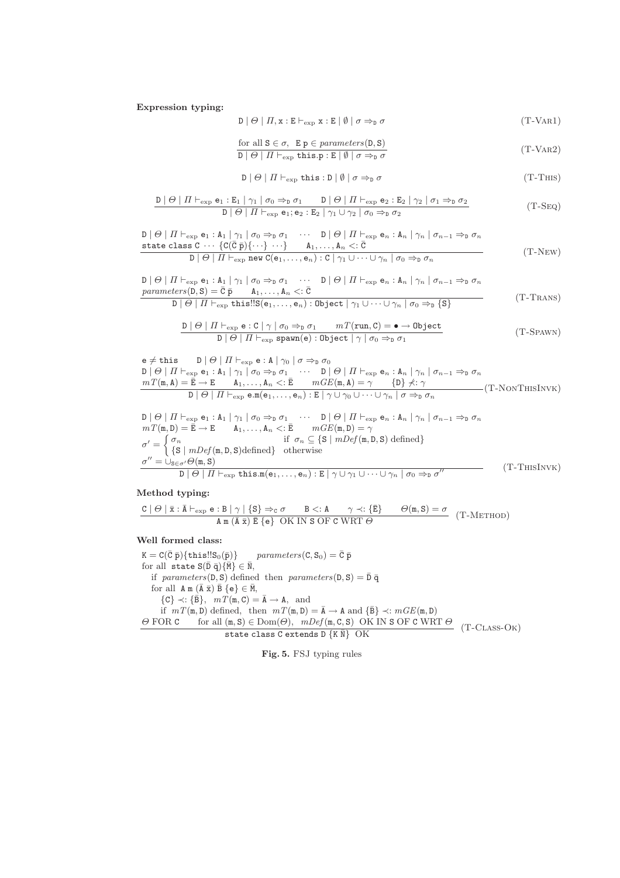**Expression typing:**

$$
\mathbf{D} \mid \Theta \mid \Pi, \mathbf{x} : \mathbf{E} \vdash_{\exp} \mathbf{x} : \mathbf{E} \mid \emptyset \mid \sigma \Rightarrow_{\mathbf{D}} \sigma
$$
\n
$$
(T\text{-}VAR1)
$$

for all 
$$
S \in \sigma
$$
,  $E p \in parameters(D, S)$   
\n $D | \Theta | \Pi \vdash_{exp} \text{this.p}: E | \emptyset | \sigma \Rightarrow_{D} \sigma$  (T-VAR2)

$$
\mathbf{D} \mid \Theta \mid \Pi \vdash_{\text{exp}} \text{this}: \mathbf{D} \mid \emptyset \mid \sigma \Rightarrow_{\mathbf{D}} \sigma
$$
\n
$$
(T-THS)
$$

$$
\frac{\mathbf{D}|\Theta| \prod \vdash_{\exp} \mathbf{e}_1 : \mathbf{E}_1 | \gamma_1 | \sigma_0 \Rightarrow_{\mathbf{D}} \sigma_1 \qquad \mathbf{D}|\Theta| \prod \vdash_{\exp} \mathbf{e}_2 : \mathbf{E}_2 | \gamma_2 | \sigma_1 \Rightarrow_{\mathbf{D}} \sigma_2}{\mathbf{D}|\Theta| \prod \vdash_{\exp} \mathbf{e}_1; \mathbf{e}_2 : \mathbf{E}_2 | \gamma_1 \cup \gamma_2 | \sigma_0 \Rightarrow_{\mathbf{D}} \sigma_2}
$$
(T-SEQ)

$$
\frac{D |\Theta| \prod_{\text{exp}} \mathbf{e}_1 : A_1 |\gamma_1| \sigma_0 \Rightarrow_{\text{D}} \sigma_1 \cdots D |\Theta| \prod_{\text{exp}} \mathbf{e}_n : A_n |\gamma_n| \sigma_{n-1} \Rightarrow_{\text{D}} \sigma_n}{\text{state class } C \cdots \{C(\bar{C} \bar{p})\} \cdots \} \qquad A_1, \ldots, A_n <: \bar{C}
$$
\n
$$
D |\Theta| \prod_{\text{exp}} \text{new } C(\mathbf{e}_1, \ldots, \mathbf{e}_n) : C |\gamma_1 \cup \cdots \cup \gamma_n| \sigma_0 \Rightarrow_{\text{D}} \sigma_n
$$
\n
$$
(T\text{-}NEW)
$$

$$
D | \Theta | \Pi \vdash_{\text{exp}} \mathbf{e}_1 : \mathbf{A}_1 | \gamma_1 | \sigma_0 \Rightarrow_{\text{D}} \sigma_1 \cdots D | \Theta | \Pi \vdash_{\text{exp}} \mathbf{e}_n : \mathbf{A}_n | \gamma_n | \sigma_{n-1} \Rightarrow_{\text{D}} \sigma_n
$$
\n
$$
\text{parameters}(\mathbf{D}, \mathbf{S}) = \overline{\mathbf{C}} \overline{\mathbf{p}} \qquad \mathbf{A}_1, \ldots, \mathbf{A}_n <: \overline{\mathbf{C}}
$$
\n
$$
D | \Theta | \Pi \vdash_{\text{exp}} \text{this}!! \mathbf{S}(\mathbf{e}_1, \ldots, \mathbf{e}_n) : \text{Object} | \gamma_1 \cup \cdots \cup \gamma_n | \sigma_0 \Rightarrow_{\text{D}} \{\mathbf{S}\}
$$
\n
$$
(T\text{-Trans})
$$

$$
\frac{\mathbf{D} | \Theta | \Pi \vdash_{\exp} \mathbf{e} : \mathbf{C} | \gamma | \sigma_0 \Rightarrow_{\mathbf{D}} \sigma_1 \qquad mT(\mathbf{run}, \mathbf{C}) = \bullet \to \mathbf{Object}}{\mathbf{D} | \Theta | \Pi \vdash_{\exp} \mathbf{span}(\mathbf{e}) : \mathbf{Object} | \gamma | \sigma_0 \Rightarrow_{\mathbf{D}} \sigma_1} \tag{T-Spawn}
$$

$$
e \neq \text{this} \qquad D \mid \Theta \mid \Pi \vdash_{\text{exp}} e : A \mid \gamma_0 \mid \sigma \Rightarrow_{D} \sigma_0
$$
  
\n
$$
D \mid \Theta \mid \Pi \vdash_{\text{exp}} e_1 : A_1 \mid \gamma_1 \mid \sigma_0 \Rightarrow_{D} \sigma_1 \qquad \cdots \qquad D \mid \Theta \mid \Pi \vdash_{\text{exp}} e_n : A_n \mid \gamma_n \mid \sigma_{n-1} \Rightarrow_{D} \sigma_n
$$
  
\n
$$
mT(\mathfrak{m}, A) = \overline{E} \rightarrow E \qquad A_1, \ldots, A_n <: \overline{E} \qquad mGE(\mathfrak{m}, A) = \gamma \qquad \{D\} \nless \gamma
$$
  
\n
$$
D \mid \Theta \mid \Pi \vdash_{\text{exp}} e \cdot m(e_1, \ldots, e_n) : E \mid \gamma \cup \gamma_0 \cup \cdots \cup \gamma_n \mid \sigma \Rightarrow_{D} \sigma_n
$$
  
\n
$$
D \mid \Theta \mid \Pi \vdash_{\text{exp}} e_1 : A_1 \mid \gamma_1 \mid \sigma_0 \Rightarrow_{D} \sigma_1 \qquad \cdots \qquad D \mid \Theta \mid \Pi \vdash_{\text{exp}} e_n : A_n \mid \gamma_n \mid \sigma_{n-1} \Rightarrow_{D} \sigma_n
$$
  
\n
$$
mT(\mathfrak{m}, D) = \overline{E} \rightarrow E \qquad A_1, \ldots, A_n <: \overline{E} \qquad mGE(\mathfrak{m}, D) = \gamma
$$
  
\n
$$
\sigma' = \begin{cases} \sigma_n & \text{if } \sigma_n \subseteq \{S \mid mDef(\mathfrak{m}, D, S) \text{ defined} \} \\ \{S \mid mDef(\mathfrak{m}, D, S) \text{defined} \} & \text{otherwise} \end{cases}
$$
  
\n
$$
\sigma'' = \bigcup_{S \in \sigma'} \Theta(\mathfrak{m}, S) \qquad D \mid \Theta \mid \Pi \vdash_{\text{exp}} \text{this} . \mathfrak{m}(e_1, \ldots, e_n) : E \mid \gamma \cup \gamma_1 \cup \cdots \cup \gamma_n \mid \sigma_0 \Rightarrow_{D} \sigma'' \qquad (T\text{-THISINVK})
$$

# **Method typing:**

C | Θ | x¯ : A¯ exp e : B | γ | {S} ⇒<sup>C</sup> σ B <: A γ ≺: {E¯} Θ(m, S) = σ A m (A¯ <sup>x</sup>¯) <sup>E</sup>¯ {e} OK IN <sup>S</sup> OF <sup>C</sup> WRT <sup>Θ</sup> (T-Method)

#### **Well formed class:**

 $K = C(\bar{C} \bar{p}) {\text{this}!!S_0(\bar{p})}$  parameters(C, S<sub>0</sub>) =  $\bar{C} \bar{p}$ for all state  $S(\bar{D} \bar{q})\{\bar{M}\}\in\bar{N}$ , if parameters( $D, S$ ) defined then parameters( $D, S$ ) =  $\bar{D} \bar{q}$ for all  $A \text{ m} (\overline{A} \overline{x}) \overline{B} \{e\} \in \overline{M}$ ,  $\{C\} \prec \{ \overline{B} \}, \quad mT(\mathfrak{m}, \mathbb{C}) = \overline{A} \rightarrow A, \text{ and}$ if  $mT(\mathfrak{m}, \mathsf{D})$  defined, then  $mT(\mathfrak{m}, \mathsf{D}) = \overline{\mathsf{A}} \to \mathsf{A}$  and  $\{\overline{\mathsf{B}}\} \prec mGE(\mathfrak{m}, \mathsf{D})$ <br>  $\Theta$  FOR c for all  $(\mathfrak{m}, \mathsf{S}) \in \text{Dom}(\Theta)$ ,  $mDef(\mathfrak{m}, \mathsf{C}, \mathsf{S})$  OK IN S OF c WRT  $\theta$  FOR C for all  $(m, S) \in Dom(\theta)$ ,  $mDef(m, C, S)$  OK IN S OF C WRT  $\theta$  (T-CLASS-OK)<br>state class C extends D {K N} OK (T-CLASS-OK)

**Fig. 5.** FSJ typing rules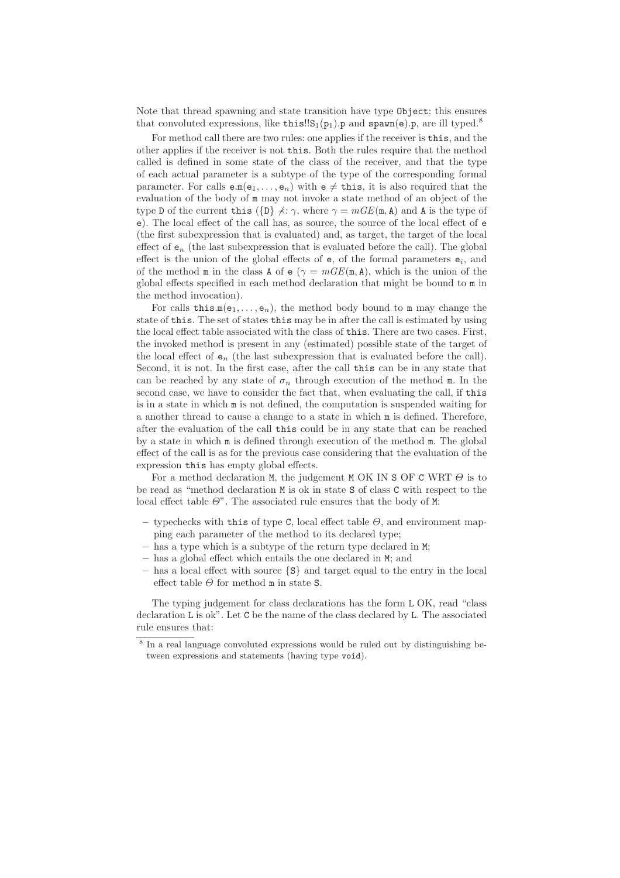Note that thread spawning and state transition have type Object; this ensures that convoluted expressions, like this!! $S_1(p_1)$ .p and spawn(e).p, are ill typed.<sup>8</sup>

For method call there are two rules: one applies if the receiver is this, and the other applies if the receiver is not this. Both the rules require that the method called is defined in some state of the class of the receiver, and that the type of each actual parameter is a subtype of the type of the corresponding formal parameter. For calls  $e.m(e_1,..., e_n)$  with  $e \neq this$ , it is also required that the evaluation of the body of m may not invoke a state method of an object of the type D of the current this ( $\{D\} \nless \gamma$ , where  $\gamma = mGE(\mathfrak{m}, \mathfrak{A})$  and A is the type of e). The local effect of the call has, as source, the source of the local effect of e (the first subexpression that is evaluated) and, as target, the target of the local effect of  $e_n$  (the last subexpression that is evaluated before the call). The global effect is the union of the global effects of  $e$ , of the formal parameters  $e_i$ , and of the method m in the class A of e ( $\gamma = mGE(\mathfrak{m}, A)$ , which is the union of the global effects specified in each method declaration that might be bound to m in the method invocation).

For calls this. $m(e_1,..., e_n)$ , the method body bound to m may change the state of this. The set of states this may be in after the call is estimated by using the local effect table associated with the class of this. There are two cases. First, the invoked method is present in any (estimated) possible state of the target of the local effect of  $e_n$  (the last subexpression that is evaluated before the call). Second, it is not. In the first case, after the call this can be in any state that can be reached by any state of  $\sigma_n$  through execution of the method m. In the second case, we have to consider the fact that, when evaluating the call, if this is in a state in which m is not defined, the computation is suspended waiting for a another thread to cause a change to a state in which m is defined. Therefore, after the evaluation of the call this could be in any state that can be reached by a state in which m is defined through execution of the method m. The global effect of the call is as for the previous case considering that the evaluation of the expression this has empty global effects.

For a method declaration M, the judgement M OK IN S OF C WRT  $\Theta$  is to be read as "method declaration M is ok in state S of class C with respect to the local effect table  $\Theta$ ". The associated rule ensures that the body of M:

- **–** typechecks with this of type C, local effect table Θ, and environment mapping each parameter of the method to its declared type;
- **–** has a type which is a subtype of the return type declared in M;
- **–** has a global effect which entails the one declared in M; and
- **–** has a local effect with source {S} and target equal to the entry in the local effect table  $\Theta$  for method m in state S.

The typing judgement for class declarations has the form L OK, read "class declaration L is ok". Let C be the name of the class declared by L. The associated rule ensures that:

<sup>8</sup> In a real language convoluted expressions would be ruled out by distinguishing between expressions and statements (having type void).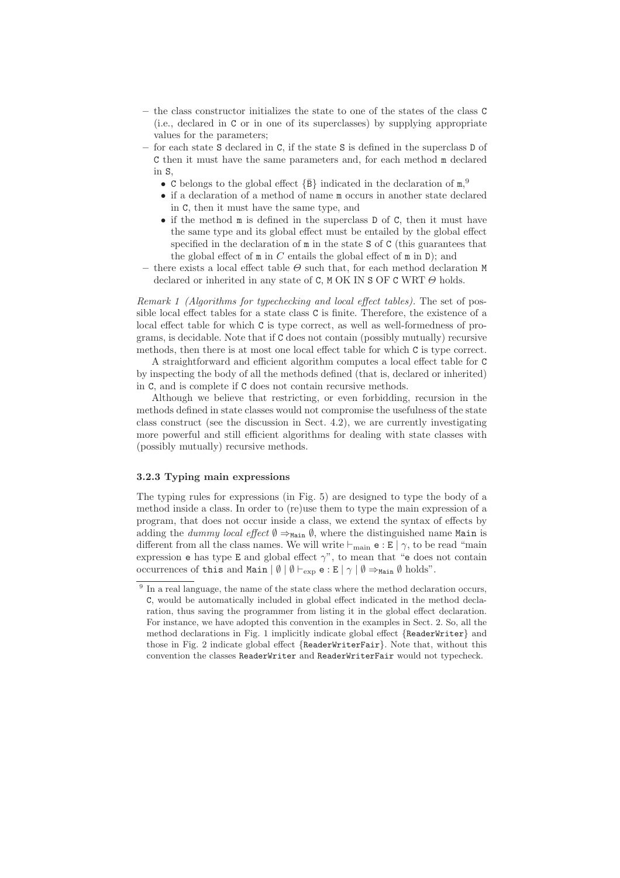- **–** the class constructor initializes the state to one of the states of the class C (i.e., declared in C or in one of its superclasses) by supplying appropriate values for the parameters;
- **–** for each state S declared in C, if the state S is defined in the superclass D of C then it must have the same parameters and, for each method m declared in S,
	- C belongs to the global effect  $\{\bar{B}\}\$  indicated in the declaration of  $m$ ,<sup>9</sup>
	- if a declaration of a method of name m occurs in another state declared in C, then it must have the same type, and
	- if the method m is defined in the superclass D of C, then it must have the same type and its global effect must be entailed by the global effect specified in the declaration of m in the state S of C (this guarantees that the global effect of  $m$  in  $C$  entails the global effect of  $m$  in  $D$ ); and
- there exists a local effect table  $\Theta$  such that, for each method declaration M declared or inherited in any state of C, M OK IN S OF C WRT  $\Theta$  holds.

Remark 1 (Algorithms for typechecking and local effect tables). The set of possible local effect tables for a state class C is finite. Therefore, the existence of a local effect table for which C is type correct, as well as well-formedness of programs, is decidable. Note that if C does not contain (possibly mutually) recursive methods, then there is at most one local effect table for which C is type correct.

A straightforward and efficient algorithm computes a local effect table for C by inspecting the body of all the methods defined (that is, declared or inherited) in C, and is complete if C does not contain recursive methods.

Although we believe that restricting, or even forbidding, recursion in the methods defined in state classes would not compromise the usefulness of the state class construct (see the discussion in Sect. 4.2), we are currently investigating more powerful and still efficient algorithms for dealing with state classes with (possibly mutually) recursive methods.

#### **3.2.3 Typing main expressions**

The typing rules for expressions (in Fig. 5) are designed to type the body of a method inside a class. In order to (re)use them to type the main expression of a program, that does not occur inside a class, we extend the syntax of effects by adding the *dummy local effect*  $\emptyset \Rightarrow_{\text{Main}} \emptyset$ , where the distinguished name Main is different from all the class names. We will write  $\vdash_{\text{main}} e : E | \gamma$ , to be read "main" expression e has type E and global effect  $\gamma$ ", to mean that "e does not contain occurrences of this and Main  $|\emptyset| \emptyset \vdash_{\text{exp}} e : E | \gamma | \emptyset \Rightarrow_{\text{Main}} \emptyset$  holds".

 $9\,$  In a real language, the name of the state class where the method declaration occurs, C, would be automatically included in global effect indicated in the method declaration, thus saving the programmer from listing it in the global effect declaration. For instance, we have adopted this convention in the examples in Sect. 2. So, all the method declarations in Fig. 1 implicitly indicate global effect {ReaderWriter} and those in Fig. 2 indicate global effect {ReaderWriterFair}. Note that, without this convention the classes ReaderWriter and ReaderWriterFair would not typecheck.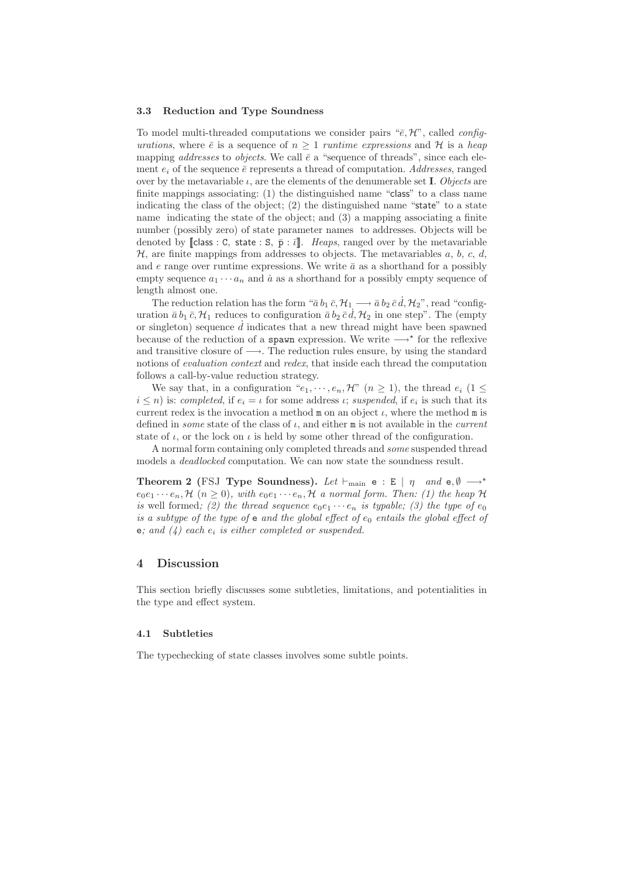#### **3.3 Reduction and Type Soundness**

To model multi-threaded computations we consider pairs " $\bar{e}$ , H", called *config*urations, where  $\bar{e}$  is a sequence of  $n > 1$  runtime expressions and H is a heap mapping *addresses* to *objects*. We call  $\bar{e}$  a "sequence of threads", since each element  $e_i$  of the sequence  $\bar{e}$  represents a thread of computation. Addresses, ranged over by the metavariable  $\iota$ , are the elements of the denumerable set **I**. Objects are finite mappings associating: (1) the distinguished name "class" to a class name indicating the class of the object; (2) the distinguished name "state" to a state name indicating the state of the object; and (3) a mapping associating a finite number (possibly zero) of state parameter names to addresses. Objects will be denoted by [class : C, state : S,  $\bar{p}$  :  $\bar{l}$ ]. Heaps, ranged over by the metavariable  $H$ , are finite mappings from addresses to objects. The metavariables a, b, c, d, and e range over runtime expressions. We write  $\bar{a}$  as a shorthand for a possibly empty sequence  $a_1 \cdots a_n$  and  $\dot{a}$  as a shorthand for a possibly empty sequence of length almost one.

The reduction relation has the form " $\bar{a} b_1 \bar{c}$ ,  $\mathcal{H}_1 \longrightarrow \bar{a} b_2 \bar{c} d$ ,  $\mathcal{H}_2$ ", read "configuration  $\bar{a} b_1 \bar{c}, \mathcal{H}_1$  reduces to configuration  $\bar{a} b_2 \bar{c} d, \mathcal{H}_2$  in one step". The (empty or singleton) sequence  $\tilde{d}$  indicates that a new thread might have been spawned because of the reduction of a spawn expression. We write  $\longrightarrow^*$  for the reflexive and transitive closure of  $\longrightarrow$ . The reduction rules ensure, by using the standard notions of evaluation context and redex, that inside each thread the computation follows a call-by-value reduction strategy.

We say that, in a configuration " $e_1, \dots, e_n$ , H"  $(n \geq 1)$ , the thread  $e_i$   $(1 \leq$  $i \leq n$ ) is: completed, if  $e_i = \iota$  for some address  $\iota$ ; suspended, if  $e_i$  is such that its current redex is the invocation a method  $m$  on an object  $\iota$ , where the method  $m$  is defined in *some* state of the class of  $\iota$ , and either **m** is not available in the *current* state of  $\iota$ , or the lock on  $\iota$  is held by some other thread of the configuration.

A normal form containing only completed threads and some suspended thread models a deadlocked computation. We can now state the soundness result.

**Theorem 2** (FSJ **Type Soundness).** Let  $\vdash_{\text{main}}$  e : E |  $\eta$  and e, Ø  $\longrightarrow^*$  $e_0e_1\cdots e_n$ ,  $\mathcal{H}$   $(n \geq 0)$ , with  $e_0e_1\cdots e_n$ ,  $\mathcal{H}$  a normal form. Then: (1) the heap  $\mathcal{H}$ is well formed; (2) the thread sequence  $e_0e_1 \cdots e_n$  is typable; (3) the type of  $e_0$ is a subtype of the type of  $e$  and the global effect of  $e_0$  entails the global effect of e; and  $(4)$  each  $e_i$  is either completed or suspended.

### **4 Discussion**

This section briefly discusses some subtleties, limitations, and potentialities in the type and effect system.

#### **4.1 Subtleties**

The typechecking of state classes involves some subtle points.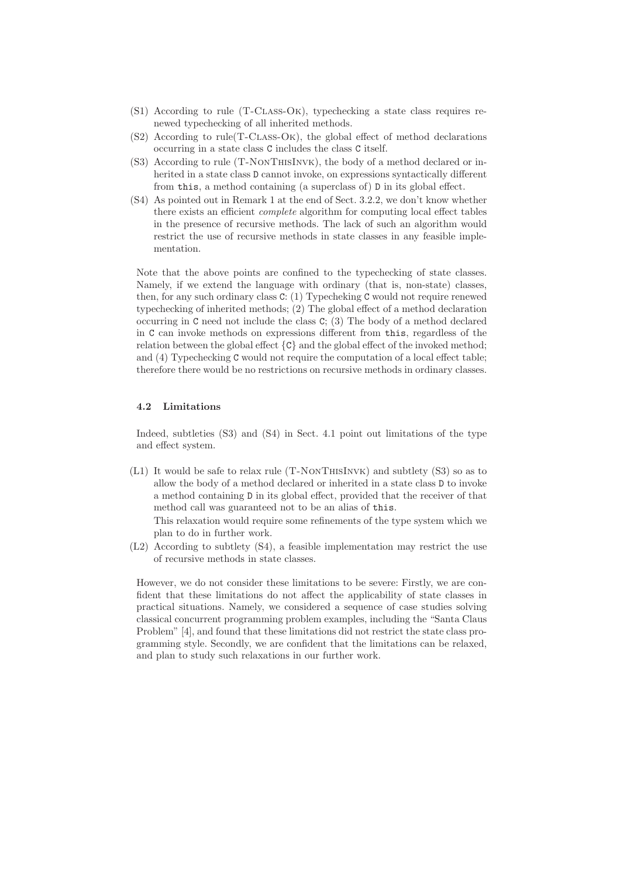- (S1) According to rule (T-Class-Ok), typechecking a state class requires renewed typechecking of all inherited methods.
- (S2) According to rule(T-Class-Ok), the global effect of method declarations occurring in a state class C includes the class C itself.
- (S3) According to rule (T-NonThisInvk), the body of a method declared or inherited in a state class D cannot invoke, on expressions syntactically different from this, a method containing (a superclass of) D in its global effect.
- (S4) As pointed out in Remark 1 at the end of Sect. 3.2.2, we don't know whether there exists an efficient complete algorithm for computing local effect tables in the presence of recursive methods. The lack of such an algorithm would restrict the use of recursive methods in state classes in any feasible implementation.

Note that the above points are confined to the typechecking of state classes. Namely, if we extend the language with ordinary (that is, non-state) classes, then, for any such ordinary class C: (1) Typecheking C would not require renewed typechecking of inherited methods; (2) The global effect of a method declaration occurring in C need not include the class C; (3) The body of a method declared in C can invoke methods on expressions different from this, regardless of the relation between the global effect  $\{C\}$  and the global effect of the invoked method; and (4) Typechecking C would not require the computation of a local effect table; therefore there would be no restrictions on recursive methods in ordinary classes.

#### **4.2 Limitations**

Indeed, subtleties (S3) and (S4) in Sect. 4.1 point out limitations of the type and effect system.

(L1) It would be safe to relax rule (T-NonThisInvk) and subtlety (S3) so as to allow the body of a method declared or inherited in a state class D to invoke a method containing D in its global effect, provided that the receiver of that method call was guaranteed not to be an alias of this.

This relaxation would require some refinements of the type system which we plan to do in further work.

(L2) According to subtlety (S4), a feasible implementation may restrict the use of recursive methods in state classes.

However, we do not consider these limitations to be severe: Firstly, we are confident that these limitations do not affect the applicability of state classes in practical situations. Namely, we considered a sequence of case studies solving classical concurrent programming problem examples, including the "Santa Claus Problem" [4], and found that these limitations did not restrict the state class programming style. Secondly, we are confident that the limitations can be relaxed, and plan to study such relaxations in our further work.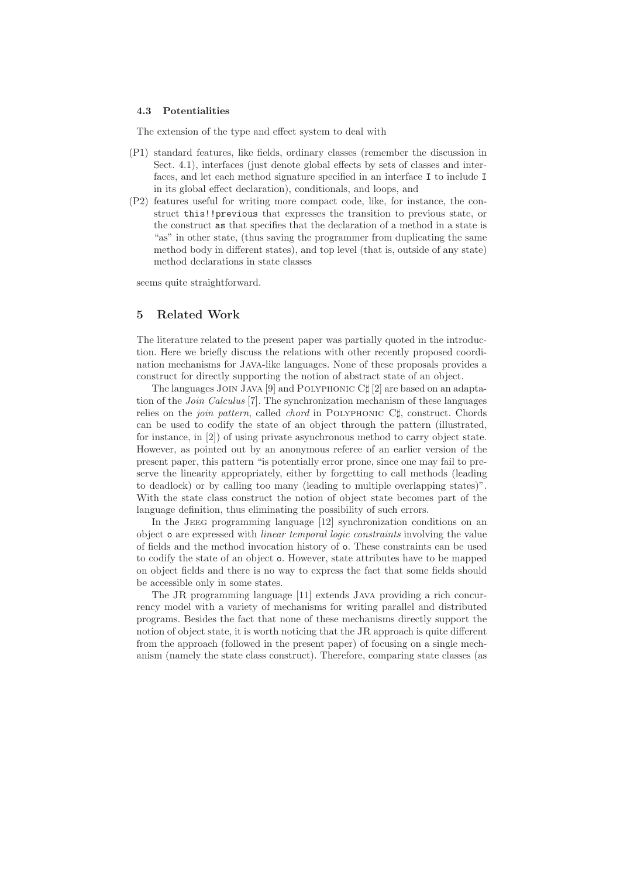#### **4.3 Potentialities**

The extension of the type and effect system to deal with

- (P1) standard features, like fields, ordinary classes (remember the discussion in Sect. 4.1), interfaces (just denote global effects by sets of classes and interfaces, and let each method signature specified in an interface I to include I in its global effect declaration), conditionals, and loops, and
- (P2) features useful for writing more compact code, like, for instance, the construct this!!previous that expresses the transition to previous state, or the construct as that specifies that the declaration of a method in a state is "as" in other state, (thus saving the programmer from duplicating the same method body in different states), and top level (that is, outside of any state) method declarations in state classes

seems quite straightforward.

# **5 Related Work**

The literature related to the present paper was partially quoted in the introduction. Here we briefly discuss the relations with other recently proposed coordination mechanisms for Java-like languages. None of these proposals provides a construct for directly supporting the notion of abstract state of an object.

The languages JOIN JAVA [9] and POLYPHONIC C $\sharp$  [2] are based on an adaptation of the Join Calculus [7]. The synchronization mechanism of these languages relies on the *join pattern*, called *chord* in POLYPHONIC C<sup> $\sharp$ </sup>, construct. Chords can be used to codify the state of an object through the pattern (illustrated, for instance, in [2]) of using private asynchronous method to carry object state. However, as pointed out by an anonymous referee of an earlier version of the present paper, this pattern "is potentially error prone, since one may fail to preserve the linearity appropriately, either by forgetting to call methods (leading to deadlock) or by calling too many (leading to multiple overlapping states)". With the state class construct the notion of object state becomes part of the language definition, thus eliminating the possibility of such errors.

In the Jeeg programming language [12] synchronization conditions on an object o are expressed with linear temporal logic constraints involving the value of fields and the method invocation history of o. These constraints can be used to codify the state of an object o. However, state attributes have to be mapped on object fields and there is no way to express the fact that some fields should be accessible only in some states.

The JR programming language [11] extends Java providing a rich concurrency model with a variety of mechanisms for writing parallel and distributed programs. Besides the fact that none of these mechanisms directly support the notion of object state, it is worth noticing that the JR approach is quite different from the approach (followed in the present paper) of focusing on a single mechanism (namely the state class construct). Therefore, comparing state classes (as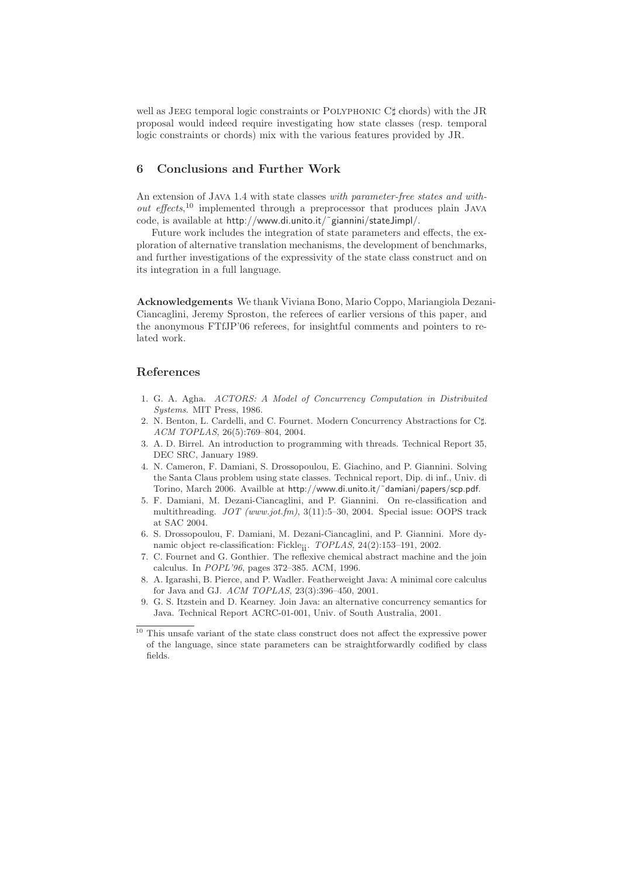well as JEEG temporal logic constraints or POLYPHONIC C<sup>†</sup> chords) with the JR proposal would indeed require investigating how state classes (resp. temporal logic constraints or chords) mix with the various features provided by JR.

# **6 Conclusions and Further Work**

An extension of Java 1.4 with state classes with parameter-free states and without effects,<sup>10</sup> implemented through a preprocessor that produces plain JAVA code, is available at http://www.di.unito.it/˜giannini/stateJimpl/.

Future work includes the integration of state parameters and effects, the exploration of alternative translation mechanisms, the development of benchmarks, and further investigations of the expressivity of the state class construct and on its integration in a full language.

**Acknowledgements** We thank Viviana Bono, Mario Coppo, Mariangiola Dezani-Ciancaglini, Jeremy Sproston, the referees of earlier versions of this paper, and the anonymous FTfJP'06 referees, for insightful comments and pointers to related work.

# **References**

- 1. G. A. Agha. ACTORS: A Model of Concurrency Computation in Distribuited Systems. MIT Press, 1986.
- 2. N. Benton, L. Cardelli, and C. Fournet. Modern Concurrency Abstractions for C#. ACM TOPLAS, 26(5):769–804, 2004.
- 3. A. D. Birrel. An introduction to programming with threads. Technical Report 35, DEC SRC, January 1989.
- 4. N. Cameron, F. Damiani, S. Drossopoulou, E. Giachino, and P. Giannini. Solving the Santa Claus problem using state classes. Technical report, Dip. di inf., Univ. di Torino, March 2006. Availble at http://www.di.unito.it/˜damiani/papers/scp.pdf.
- 5. F. Damiani, M. Dezani-Ciancaglini, and P. Giannini. On re-classification and multithreading. JOT (www.jot.fm), 3(11):5–30, 2004. Special issue: OOPS track at SAC 2004.
- 6. S. Drossopoulou, F. Damiani, M. Dezani-Ciancaglini, and P. Giannini. More dynamic object re-classification: Fickleii. TOPLAS, 24(2):153–191, 2002.
- 7. C. Fournet and G. Gonthier. The reflexive chemical abstract machine and the join calculus. In POPL'96, pages 372–385. ACM, 1996.
- 8. A. Igarashi, B. Pierce, and P. Wadler. Featherweight Java: A minimal core calculus for Java and GJ. ACM TOPLAS, 23(3):396–450, 2001.
- 9. G. S. Itzstein and D. Kearney. Join Java: an alternative concurrency semantics for Java. Technical Report ACRC-01-001, Univ. of South Australia, 2001.

 $\frac{10}{10}$  This unsafe variant of the state class construct does not affect the expressive power of the language, since state parameters can be straightforwardly codified by class fields.